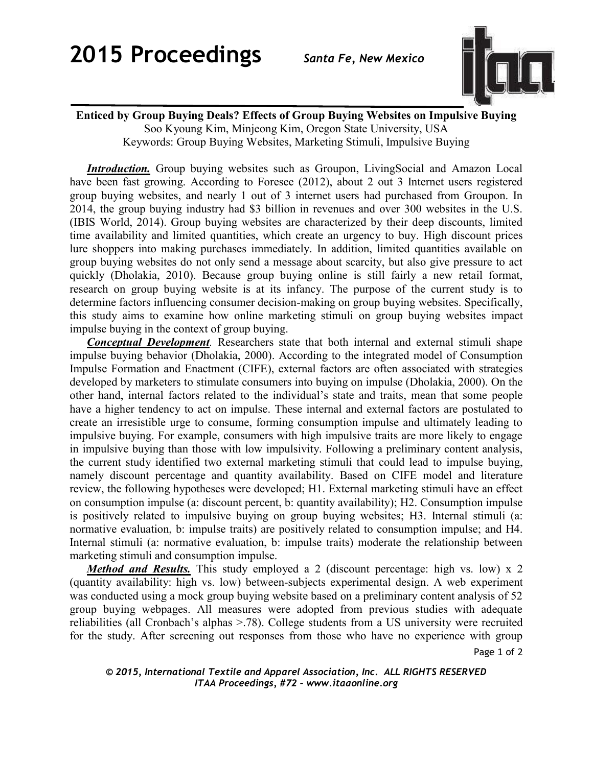

## **Enticed by Group Buying Deals? Effects of Group Buying Websites on Impulsive Buying** Soo Kyoung Kim, Minjeong Kim, Oregon State University, USA Keywords: Group Buying Websites, Marketing Stimuli, Impulsive Buying

*Introduction.* Group buying websites such as Groupon, LivingSocial and Amazon Local have been fast growing. According to Foresee (2012), about 2 out 3 Internet users registered group buying websites, and nearly 1 out of 3 internet users had purchased from Groupon. In 2014, the group buying industry had \$3 billion in revenues and over 300 websites in the U.S. (IBIS World, 2014). Group buying websites are characterized by their deep discounts, limited time availability and limited quantities, which create an urgency to buy. High discount prices lure shoppers into making purchases immediately. In addition, limited quantities available on group buying websites do not only send a message about scarcity, but also give pressure to act quickly (Dholakia, 2010). Because group buying online is still fairly a new retail format, research on group buying website is at its infancy. The purpose of the current study is to determine factors influencing consumer decision-making on group buying websites. Specifically, this study aims to examine how online marketing stimuli on group buying websites impact impulse buying in the context of group buying.

*Conceptual Development.* Researchers state that both internal and external stimuli shape impulse buying behavior (Dholakia, 2000). According to the integrated model of Consumption Impulse Formation and Enactment (CIFE), external factors are often associated with strategies developed by marketers to stimulate consumers into buying on impulse (Dholakia, 2000). On the other hand, internal factors related to the individual's state and traits, mean that some people have a higher tendency to act on impulse. These internal and external factors are postulated to create an irresistible urge to consume, forming consumption impulse and ultimately leading to impulsive buying. For example, consumers with high impulsive traits are more likely to engage in impulsive buying than those with low impulsivity. Following a preliminary content analysis, the current study identified two external marketing stimuli that could lead to impulse buying, namely discount percentage and quantity availability. Based on CIFE model and literature review, the following hypotheses were developed; H1. External marketing stimuli have an effect on consumption impulse (a: discount percent, b: quantity availability); H2. Consumption impulse is positively related to impulsive buying on group buying websites; H3. Internal stimuli (a: normative evaluation, b: impulse traits) are positively related to consumption impulse; and H4. Internal stimuli (a: normative evaluation, b: impulse traits) moderate the relationship between marketing stimuli and consumption impulse.

*Method and Results.* This study employed a 2 (discount percentage: high vs. low) x 2 (quantity availability: high vs. low) between-subjects experimental design. A web experiment was conducted using a mock group buying website based on a preliminary content analysis of 52 group buying webpages. All measures were adopted from previous studies with adequate reliabilities (all Cronbach's alphas >.78). College students from a US university were recruited for the study. After screening out responses from those who have no experience with group

Page 1 of 2

## *© 2015, International Textile and Apparel Association, Inc. ALL RIGHTS RESERVED ITAA Proceedings, #72 – www.itaaonline.org*